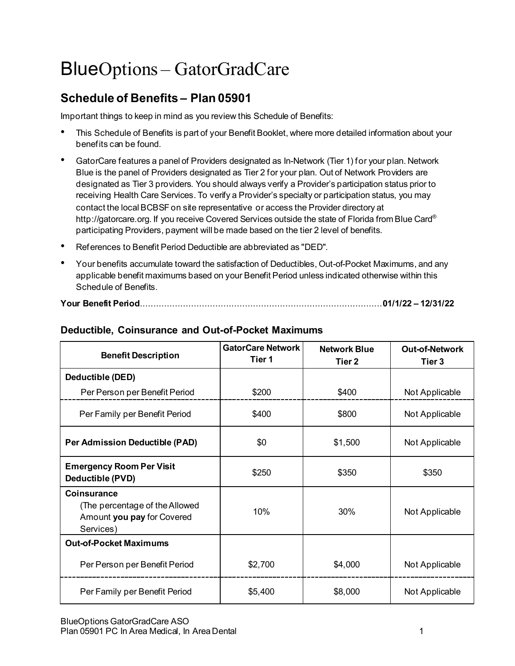# BlueOptions – GatorGradCare

# **Schedule of Benefits – Plan 05901**

Important things to keep in mind as you review this Schedule of Benefits:

- This Schedule of Benefits is part of your Benefit Booklet, where more detailed information about your benefits can be found.
- GatorCare features a panel of Providers designated as In-Network (Tier 1) for your plan. Network Blue is the panel of Providers designated as Tier 2 for your plan. Out of Network Providers are designated as Tier 3 providers. You should always verify a Provider's participation status prior to receiving Health Care Services. To verify a Provider's specialty or participation status, you may contact the local BCBSF on site representative or access the Provider directory at http://gatorcare.org. If you receive Covered Services outside the state of Florida from Blue Card® participating Providers, payment will be made based on the tier 2 level of benefits.
- References to Benefit Period Deductible are abbreviated as "DED".
- Your benefits accumulate toward the satisfaction of Deductibles, Out-of-Pocket Maximums, and any applicable benefit maximums based on your Benefit Period unless indicated otherwise within this Schedule of Benefits.

| <b>Benefit Description</b>                                                               | <b>GatorCare Network</b><br>Tier 1 | <b>Network Blue</b><br>Tier <sub>2</sub> | <b>Out-of-Network</b><br>Tier 3 |
|------------------------------------------------------------------------------------------|------------------------------------|------------------------------------------|---------------------------------|
| Deductible (DED)                                                                         |                                    |                                          |                                 |
| Per Person per Benefit Period                                                            | \$200                              | \$400                                    | Not Applicable                  |
| Per Family per Benefit Period                                                            | \$400                              | \$800                                    | Not Applicable                  |
| Per Admission Deductible (PAD)                                                           | \$0                                | \$1,500                                  | Not Applicable                  |
| <b>Emergency Room Per Visit</b><br>Deductible (PVD)                                      | \$250                              | \$350                                    | \$350                           |
| Coinsurance<br>(The percentage of the Allowed<br>Amount you pay for Covered<br>Services) | 10%                                | 30%                                      | Not Applicable                  |
| <b>Out-of-Pocket Maximums</b>                                                            |                                    |                                          |                                 |
| Per Person per Benefit Period                                                            | \$2,700                            | \$4,000                                  | Not Applicable                  |
| Per Family per Benefit Period                                                            | \$5,400                            | \$8,000                                  | Not Applicable                  |

## **Deductible, Coinsurance and Out-of-Pocket Maximums**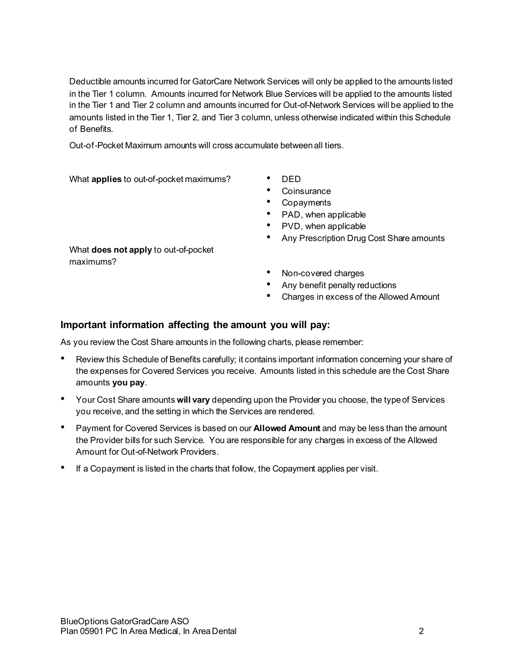Deductible amounts incurred for GatorCare Network Services will only be applied to the amounts listed in the Tier 1 column. Amounts incurred for Network Blue Services will be applied to the amounts listed in the Tier 1 and Tier 2 column and amounts incurred for Out-of-Network Services will be applied to the amounts listed in the Tier 1, Tier 2, and Tier 3 column, unless otherwise indicated within this Schedule of Benefits.

Out-of-Pocket Maximum amounts will cross accumulate between all tiers.

What **applies** to out-of-pocket maximums? • DED

- 
- Coinsurance
- Copayments
- PAD, when applicable
- PVD, when applicable
- Any Prescription Drug Cost Share amounts

What **does not apply** to out-of-pocket maximums?

- Non-covered charges
- Any benefit penalty reductions
- Charges in excess of the Allowed Amount

#### **Important information affecting the amount you will pay:**

As you review the Cost Share amounts in the following charts, please remember:

- Review this Schedule of Benefits carefully; it contains important information concerning your share of the expenses for Covered Services you receive. Amounts listed in this schedule are the Cost Share amounts **you pay**.
- Your Cost Share amounts **will vary** depending upon the Provider you choose, the type of Services you receive, and the setting in which the Services are rendered.
- Payment for Covered Services is based on our **Allowed Amount** and may be less than the amount the Provider bills for such Service. You are responsible for any charges in excess of the Allowed Amount for Out-of-Network Providers.
- If a Copayment is listed in the charts that follow, the Copayment applies per visit.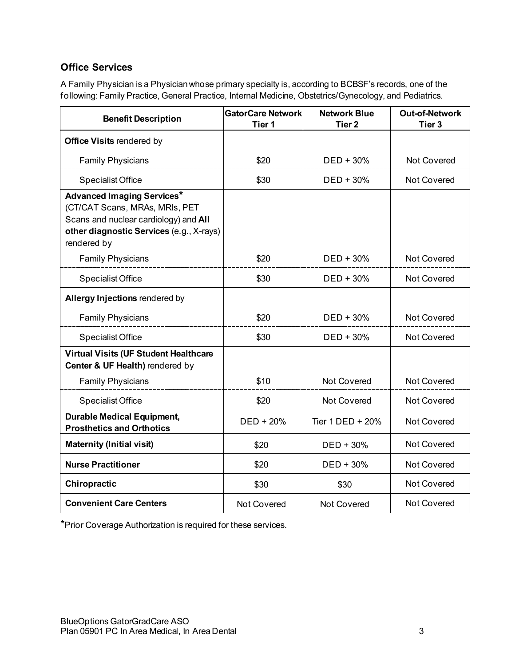## **Office Services**

A Family Physician is a Physician whose primary specialty is, according to BCBSF's records, one of the following: Family Practice, General Practice, Internal Medicine, Obstetrics/Gynecology, and Pediatrics.

| <b>Benefit Description</b>                                                                                                                                              | <b>GatorCare Network</b><br>Tier <sub>1</sub> | <b>Network Blue</b><br>Tier <sub>2</sub> | <b>Out-of-Network</b><br>Tier <sub>3</sub> |
|-------------------------------------------------------------------------------------------------------------------------------------------------------------------------|-----------------------------------------------|------------------------------------------|--------------------------------------------|
| <b>Office Visits rendered by</b>                                                                                                                                        |                                               |                                          |                                            |
| <b>Family Physicians</b>                                                                                                                                                | \$20                                          | $DED + 30%$                              | <b>Not Covered</b>                         |
| <b>Specialist Office</b>                                                                                                                                                | \$30                                          | $DED + 30%$                              | Not Covered                                |
| <b>Advanced Imaging Services*</b><br>(CT/CAT Scans, MRAs, MRIs, PET<br>Scans and nuclear cardiology) and All<br>other diagnostic Services (e.g., X-rays)<br>rendered by |                                               |                                          |                                            |
| <b>Family Physicians</b>                                                                                                                                                | \$20                                          | $DED + 30%$                              | <b>Not Covered</b>                         |
| <b>Specialist Office</b>                                                                                                                                                | \$30                                          | $DED + 30%$                              | Not Covered                                |
| Allergy Injections rendered by                                                                                                                                          |                                               |                                          |                                            |
| <b>Family Physicians</b>                                                                                                                                                | \$20                                          | DED + 30%                                | Not Covered                                |
| <b>Specialist Office</b>                                                                                                                                                | \$30                                          | $DED + 30%$                              | Not Covered                                |
| <b>Virtual Visits (UF Student Healthcare</b><br>Center & UF Health) rendered by                                                                                         |                                               |                                          |                                            |
| <b>Family Physicians</b>                                                                                                                                                | \$10                                          | Not Covered                              | Not Covered                                |
| Specialist Office                                                                                                                                                       | \$20                                          | <b>Not Covered</b>                       | <b>Not Covered</b>                         |
| <b>Durable Medical Equipment,</b><br><b>Prosthetics and Orthotics</b>                                                                                                   | DED + 20%                                     | Tier 1 DED + 20%                         | Not Covered                                |
| <b>Maternity (Initial visit)</b>                                                                                                                                        | \$20                                          | $DED + 30%$                              | Not Covered                                |
| <b>Nurse Practitioner</b>                                                                                                                                               | \$20                                          | $DED + 30%$                              | <b>Not Covered</b>                         |
| Chiropractic                                                                                                                                                            | \$30                                          | \$30                                     | Not Covered                                |
| <b>Convenient Care Centers</b>                                                                                                                                          | <b>Not Covered</b>                            | <b>Not Covered</b>                       | <b>Not Covered</b>                         |

\*Prior Coverage Authorization is required for these services.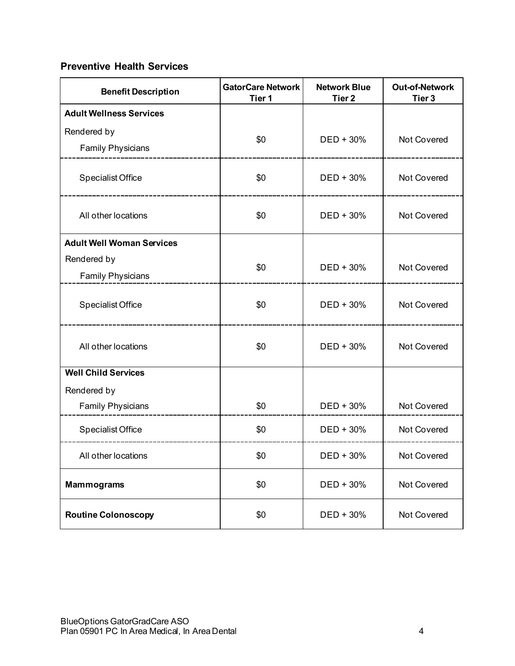## **Preventive Health Services**

| <b>Benefit Description</b>       | <b>GatorCare Network</b><br>Tier <sub>1</sub> | <b>Network Blue</b><br>Tier <sub>2</sub> | <b>Out-of-Network</b><br>Tier <sub>3</sub> |
|----------------------------------|-----------------------------------------------|------------------------------------------|--------------------------------------------|
| <b>Adult Wellness Services</b>   |                                               |                                          |                                            |
| Rendered by                      | \$0                                           | $DED + 30%$                              | Not Covered                                |
| <b>Family Physicians</b>         |                                               |                                          |                                            |
| <b>Specialist Office</b>         | \$0                                           | DED + 30%                                | Not Covered                                |
| All other locations              | \$0                                           | DED + 30%                                | Not Covered                                |
| <b>Adult Well Woman Services</b> |                                               |                                          |                                            |
| Rendered by                      | \$0                                           | DED + 30%                                | Not Covered                                |
| Family Physicians                |                                               |                                          |                                            |
| <b>Specialist Office</b>         | \$0                                           | DED + 30%                                | Not Covered                                |
| All other locations              | \$0                                           | $DED + 30%$                              | Not Covered                                |
| <b>Well Child Services</b>       |                                               |                                          |                                            |
| Rendered by                      |                                               |                                          |                                            |
| <b>Family Physicians</b>         | \$0                                           | DED + 30%                                | Not Covered                                |
| Specialist Office                | \$0                                           | $DED + 30%$                              | Not Covered                                |
| All other locations              | \$0                                           | DED + 30%                                | Not Covered                                |
| <b>Mammograms</b>                | \$0                                           | DED + 30%                                | Not Covered                                |
| <b>Routine Colonoscopy</b>       | \$0                                           | DED + 30%                                | Not Covered                                |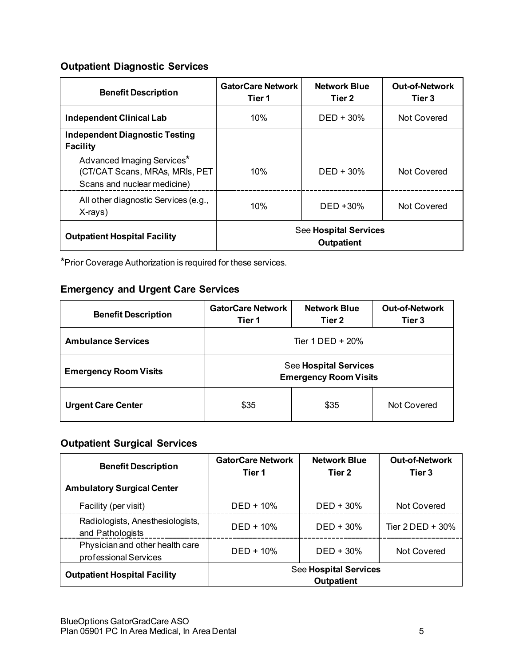## **Outpatient Diagnostic Services**

| <b>Benefit Description</b>                                                                  | <b>GatorCare Network</b><br>Tier 1                | <b>Network Blue</b><br>Tier 2 | <b>Out-of-Network</b><br>Tier 3 |
|---------------------------------------------------------------------------------------------|---------------------------------------------------|-------------------------------|---------------------------------|
| <b>Independent Clinical Lab</b>                                                             | 10%                                               | $DED + 30\%$                  | <b>Not Covered</b>              |
| <b>Independent Diagnostic Testing</b><br><b>Facility</b>                                    |                                                   |                               |                                 |
| Advanced Imaging Services*<br>(CT/CAT Scans, MRAs, MRIs, PET<br>Scans and nuclear medicine) | 10%                                               | $DED + 30%$                   | Not Covered                     |
| All other diagnostic Services (e.g.,<br>X-rays)                                             | 10%                                               | $DED + 30%$                   | Not Covered                     |
| <b>Outpatient Hospital Facility</b>                                                         | <b>See Hospital Services</b><br><b>Outpatient</b> |                               |                                 |

\*Prior Coverage Authorization is required for these services.

## **Emergency and Urgent Care Services**

| <b>Benefit Description</b>   | <b>GatorCare Network</b><br>Tier 1                           | <b>Network Blue</b><br>Tier 2 | <b>Out-of-Network</b><br>Tier <sub>3</sub> |
|------------------------------|--------------------------------------------------------------|-------------------------------|--------------------------------------------|
| <b>Ambulance Services</b>    | Tier 1 DED + 20%                                             |                               |                                            |
| <b>Emergency Room Visits</b> | <b>See Hospital Services</b><br><b>Emergency Room Visits</b> |                               |                                            |
| <b>Urgent Care Center</b>    | \$35                                                         | \$35                          | Not Covered                                |

## **Outpatient Surgical Services**

| <b>Benefit Description</b>                               | <b>GatorCare Network</b><br>Tier 1                | <b>Network Blue</b><br>Tier <sub>2</sub> | <b>Out-of-Network</b><br>Tier 3 |
|----------------------------------------------------------|---------------------------------------------------|------------------------------------------|---------------------------------|
| <b>Ambulatory Surgical Center</b>                        |                                                   |                                          |                                 |
| Facility (per visit)                                     | $DED + 10%$                                       | $DED + 30%$                              | Not Covered                     |
| Radiologists, Anesthesiologists,<br>and Pathologists     | $DED + 10%$                                       | $DED + 30%$                              | Tier $2$ DED + 30%              |
| Physician and other health care<br>professional Services | $DED + 10%$                                       | $DED + 30%$                              | Not Covered                     |
| <b>Outpatient Hospital Facility</b>                      | <b>See Hospital Services</b><br><b>Outpatient</b> |                                          |                                 |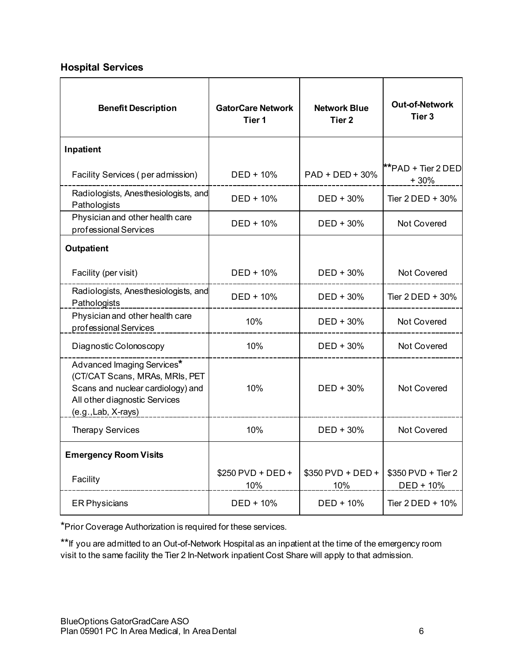## **Hospital Services**

| <b>Benefit Description</b>                                                                                                                                | <b>GatorCare Network</b><br>Tier 1 | <b>Network Blue</b><br>Tier <sub>2</sub> | <b>Out-of-Network</b><br>Tier 3 |
|-----------------------------------------------------------------------------------------------------------------------------------------------------------|------------------------------------|------------------------------------------|---------------------------------|
| Inpatient                                                                                                                                                 |                                    |                                          |                                 |
| Facility Services (per admission)                                                                                                                         | DED + 10%                          | PAD + DED + 30%                          | **PAD + Tier 2 DED<br>$+30%$    |
| Radiologists, Anesthesiologists, and<br>Pathologists                                                                                                      | DED + 10%                          | $DED + 30\%$                             | Tier $2$ DED + 30%              |
| Physician and other health care<br>professional Services                                                                                                  | DED + 10%                          | $DED + 30%$                              | <b>Not Covered</b>              |
| <b>Outpatient</b>                                                                                                                                         |                                    |                                          |                                 |
| Facility (per visit)                                                                                                                                      | DED + 10%                          | DED + 30%                                | Not Covered                     |
| Radiologists, Anesthesiologists, and<br>Pathologists                                                                                                      | DED + 10%                          | $DED + 30%$                              | Tier $2$ DED + 30%              |
| Physician and other health care<br>professional Services                                                                                                  | 10%                                | $DED + 30%$                              | Not Covered                     |
| Diagnostic Colonoscopy                                                                                                                                    | 10%                                | DED + 30%                                | Not Covered                     |
| Advanced Imaging Services*<br>(CT/CAT Scans, MRAs, MRIs, PET<br>Scans and nuclear cardiology) and<br>All other diagnostic Services<br>(e.g., Lab, X-rays) | 10%                                | $DED + 30%$                              | Not Covered                     |
| <b>Therapy Services</b>                                                                                                                                   | 10%                                | $DED + 30%$                              | <b>Not Covered</b>              |
| <b>Emergency Room Visits</b>                                                                                                                              |                                    |                                          |                                 |
| Facility                                                                                                                                                  | \$250 PVD + DED +<br>10%           | $$350$ PVD + DED +<br>10%                | \$350 PVD + Tier 2<br>DED + 10% |
| <b>ER Physicians</b>                                                                                                                                      | DED + 10%                          | DED + 10%                                | Tier 2 DED + 10%                |

\*Prior Coverage Authorization is required for these services.

\*\*If you are admitted to an Out-of-Network Hospital as an inpatient at the time of the emergency room visit to the same facility the Tier 2 In-Network inpatient Cost Share will apply to that admission.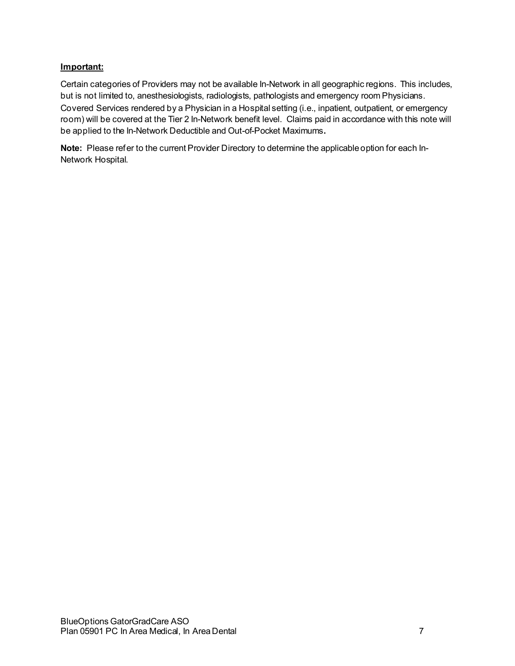#### **Important:**

Certain categories of Providers may not be available In-Network in all geographic regions. This includes, but is not limited to, anesthesiologists, radiologists, pathologists and emergency room Physicians. Covered Services rendered by a Physician in a Hospital setting (i.e., inpatient, outpatient, or emergency room) will be covered at the Tier 2 In-Network benefit level. Claims paid in accordance with this note will be applied to the In-Network Deductible and Out-of-Pocket Maximums**.**

**Note:** Please refer to the current Provider Directory to determine the applicable option for each In-Network Hospital.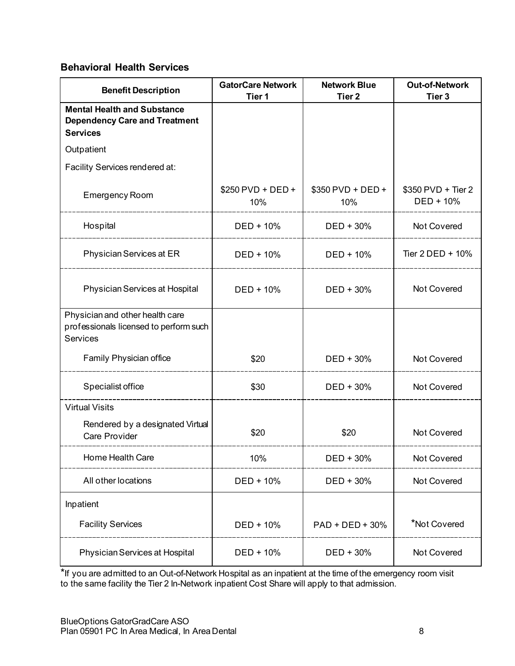## **Behavioral Health Services**

| <b>Benefit Description</b>                                                                    | <b>GatorCare Network</b><br>Tier 1 | <b>Network Blue</b><br>Tier <sub>2</sub> | <b>Out-of-Network</b><br>Tier <sub>3</sub> |
|-----------------------------------------------------------------------------------------------|------------------------------------|------------------------------------------|--------------------------------------------|
| <b>Mental Health and Substance</b><br><b>Dependency Care and Treatment</b><br><b>Services</b> |                                    |                                          |                                            |
| Outpatient                                                                                    |                                    |                                          |                                            |
| Facility Services rendered at:                                                                |                                    |                                          |                                            |
| <b>Emergency Room</b>                                                                         | \$250 PVD + DED +<br>10%           | \$350 PVD + DED +<br>10%                 | \$350 PVD + Tier 2<br>DED + 10%            |
| Hospital                                                                                      | DED + 10%                          | DED + 30%                                | Not Covered                                |
| Physician Services at ER                                                                      | DED + 10%                          | $DED + 10%$                              | Tier $2$ DED + 10%                         |
| Physician Services at Hospital                                                                | $DED + 10%$                        | $DED + 30%$                              | <b>Not Covered</b>                         |
| Physician and other health care<br>professionals licensed to perform such<br><b>Services</b>  |                                    |                                          |                                            |
| Family Physician office                                                                       | \$20                               | DED + 30%                                | Not Covered                                |
| Specialist office                                                                             | \$30                               | DED + 30%                                | Not Covered                                |
| <b>Virtual Visits</b>                                                                         |                                    |                                          |                                            |
| Rendered by a designated Virtual<br>Care Provider                                             | \$20                               | \$20                                     | Not Covered                                |
| Home Health Care                                                                              | 10%                                | DED + 30%                                | Not Covered                                |
| All other locations                                                                           | DED + 10%                          | DED + 30%                                | Not Covered                                |
| Inpatient                                                                                     |                                    |                                          |                                            |
| <b>Facility Services</b>                                                                      | DED + 10%                          | $PAD + DED + 30%$                        | *Not Covered                               |
| Physician Services at Hospital                                                                | DED + 10%                          | DED + 30%                                | Not Covered                                |

\*If you are admitted to an Out-of-Network Hospital as an inpatient at the time of the emergency room visit to the same facility the Tier 2 In-Network inpatient Cost Share will apply to that admission.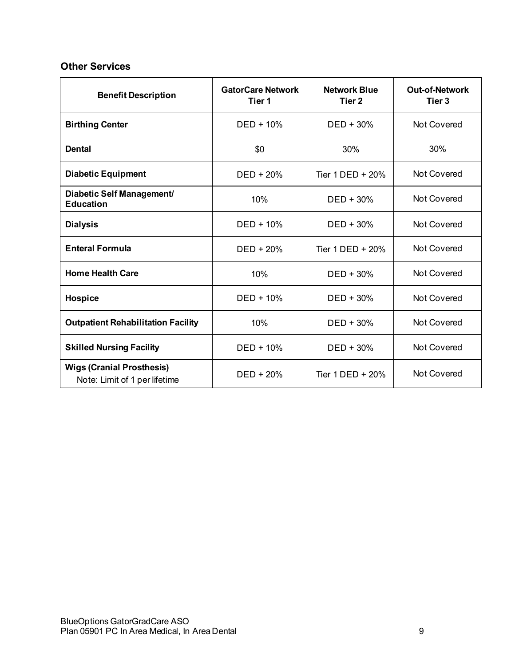## **Other Services**

| <b>Benefit Description</b>                                        | <b>GatorCare Network</b><br>Tier 1 | <b>Network Blue</b><br>Tier <sub>2</sub> | <b>Out-of-Network</b><br>Tier <sub>3</sub> |
|-------------------------------------------------------------------|------------------------------------|------------------------------------------|--------------------------------------------|
| <b>Birthing Center</b>                                            | $DED + 10%$                        | $DED + 30%$                              | Not Covered                                |
| <b>Dental</b>                                                     | \$0                                | 30%                                      | 30%                                        |
| <b>Diabetic Equipment</b>                                         | $DED + 20%$                        | Tier $1$ DED $+$ 20%                     | <b>Not Covered</b>                         |
| Diabetic Self Management/<br><b>Education</b>                     | 10%                                | $DED + 30%$                              | Not Covered                                |
| <b>Dialysis</b>                                                   | $DED + 10%$                        | $DED + 30%$                              | <b>Not Covered</b>                         |
| <b>Enteral Formula</b>                                            | $DED + 20%$                        | Tier $1$ DED $+$ 20%                     | <b>Not Covered</b>                         |
| <b>Home Health Care</b>                                           | 10%                                | $DED + 30%$                              | Not Covered                                |
| Hospice                                                           | $DED + 10%$                        | $DED + 30%$                              | <b>Not Covered</b>                         |
| <b>Outpatient Rehabilitation Facility</b>                         | 10%                                | $DED + 30%$                              | Not Covered                                |
| <b>Skilled Nursing Facility</b>                                   | $DED + 10%$                        | $DED + 30%$                              | <b>Not Covered</b>                         |
| <b>Wigs (Cranial Prosthesis)</b><br>Note: Limit of 1 per lifetime | $DED + 20%$                        | Tier 1 DED + 20%                         | <b>Not Covered</b>                         |